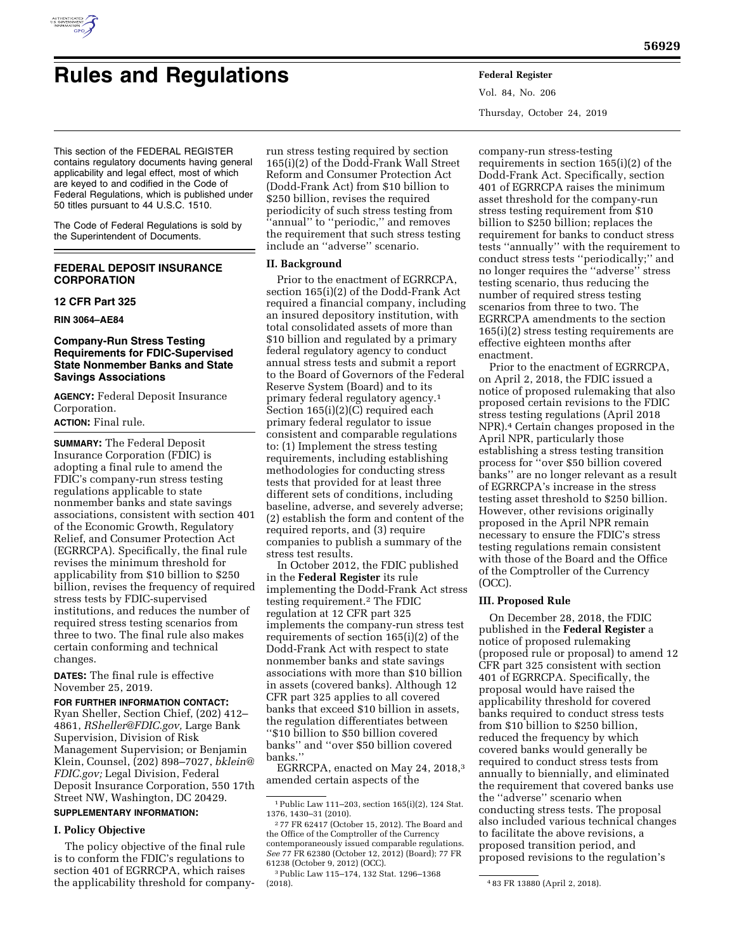

# **Rules and Regulations Federal Register**

Vol. 84, No. 206 Thursday, October 24, 2019

This section of the FEDERAL REGISTER contains regulatory documents having general applicability and legal effect, most of which are keyed to and codified in the Code of Federal Regulations, which is published under 50 titles pursuant to 44 U.S.C. 1510.

The Code of Federal Regulations is sold by the Superintendent of Documents.

# **FEDERAL DEPOSIT INSURANCE CORPORATION**

# **12 CFR Part 325**

**RIN 3064–AE84** 

# **Company-Run Stress Testing Requirements for FDIC-Supervised State Nonmember Banks and State Savings Associations**

**AGENCY:** Federal Deposit Insurance Corporation.

# **ACTION:** Final rule.

**SUMMARY:** The Federal Deposit Insurance Corporation (FDIC) is adopting a final rule to amend the FDIC's company-run stress testing regulations applicable to state nonmember banks and state savings associations, consistent with section 401 of the Economic Growth, Regulatory Relief, and Consumer Protection Act (EGRRCPA). Specifically, the final rule revises the minimum threshold for applicability from \$10 billion to \$250 billion, revises the frequency of required stress tests by FDIC-supervised institutions, and reduces the number of required stress testing scenarios from three to two. The final rule also makes certain conforming and technical changes.

**DATES:** The final rule is effective November 25, 2019.

## **FOR FURTHER INFORMATION CONTACT:**

Ryan Sheller, Section Chief, (202) 412– 4861, *[RSheller@FDIC.gov,](mailto:RSheller@FDIC.gov)* Large Bank Supervision, Division of Risk Management Supervision; or Benjamin Klein, Counsel, (202) 898–7027, *[bklein@](mailto:bklein@FDIC.gov) [FDIC.gov;](mailto:bklein@FDIC.gov)* Legal Division, Federal Deposit Insurance Corporation, 550 17th Street NW, Washington, DC 20429.

# **SUPPLEMENTARY INFORMATION:**

# **I. Policy Objective**

The policy objective of the final rule is to conform the FDIC's regulations to section 401 of EGRRCPA, which raises the applicability threshold for company-

run stress testing required by section 165(i)(2) of the Dodd-Frank Wall Street Reform and Consumer Protection Act (Dodd-Frank Act) from \$10 billion to \$250 billion, revises the required periodicity of such stress testing from ''annual'' to ''periodic,'' and removes the requirement that such stress testing include an ''adverse'' scenario.

# **II. Background**

Prior to the enactment of EGRRCPA, section 165(i)(2) of the Dodd-Frank Act required a financial company, including an insured depository institution, with total consolidated assets of more than \$10 billion and regulated by a primary federal regulatory agency to conduct annual stress tests and submit a report to the Board of Governors of the Federal Reserve System (Board) and to its primary federal regulatory agency.1 Section 165(i)(2)(C) required each primary federal regulator to issue consistent and comparable regulations to: (1) Implement the stress testing requirements, including establishing methodologies for conducting stress tests that provided for at least three different sets of conditions, including baseline, adverse, and severely adverse; (2) establish the form and content of the required reports, and (3) require companies to publish a summary of the stress test results.

In October 2012, the FDIC published in the **Federal Register** its rule implementing the Dodd-Frank Act stress testing requirement.2 The FDIC regulation at 12 CFR part 325 implements the company-run stress test requirements of section 165(i)(2) of the Dodd-Frank Act with respect to state nonmember banks and state savings associations with more than \$10 billion in assets (covered banks). Although 12 CFR part 325 applies to all covered banks that exceed \$10 billion in assets, the regulation differentiates between ''\$10 billion to \$50 billion covered banks'' and ''over \$50 billion covered banks.''

EGRRCPA, enacted on May 24, 2018,3 amended certain aspects of the

company-run stress-testing requirements in section 165(i)(2) of the Dodd-Frank Act. Specifically, section 401 of EGRRCPA raises the minimum asset threshold for the company-run stress testing requirement from \$10 billion to \$250 billion; replaces the requirement for banks to conduct stress tests ''annually'' with the requirement to conduct stress tests ''periodically;'' and no longer requires the ''adverse'' stress testing scenario, thus reducing the number of required stress testing scenarios from three to two. The EGRRCPA amendments to the section 165(i)(2) stress testing requirements are effective eighteen months after enactment.

Prior to the enactment of EGRRCPA, on April 2, 2018, the FDIC issued a notice of proposed rulemaking that also proposed certain revisions to the FDIC stress testing regulations (April 2018 NPR).4 Certain changes proposed in the April NPR, particularly those establishing a stress testing transition process for ''over \$50 billion covered banks'' are no longer relevant as a result of EGRRCPA's increase in the stress testing asset threshold to \$250 billion. However, other revisions originally proposed in the April NPR remain necessary to ensure the FDIC's stress testing regulations remain consistent with those of the Board and the Office of the Comptroller of the Currency (OCC).

## **III. Proposed Rule**

On December 28, 2018, the FDIC published in the **Federal Register** a notice of proposed rulemaking (proposed rule or proposal) to amend 12 CFR part 325 consistent with section 401 of EGRRCPA. Specifically, the proposal would have raised the applicability threshold for covered banks required to conduct stress tests from \$10 billion to \$250 billion, reduced the frequency by which covered banks would generally be required to conduct stress tests from annually to biennially, and eliminated the requirement that covered banks use the ''adverse'' scenario when conducting stress tests. The proposal also included various technical changes to facilitate the above revisions, a proposed transition period, and proposed revisions to the regulation's

<sup>1</sup>Public Law 111–203, section 165(i)(2), 124 Stat. 1376, 1430–31 (2010).

<sup>2</sup> 77 FR 62417 (October 15, 2012). The Board and the Office of the Comptroller of the Currency contemporaneously issued comparable regulations. *See* 77 FR 62380 (October 12, 2012) (Board); 77 FR 61238 (October 9, 2012) (OCC).

<sup>3</sup>Public Law 115–174, 132 Stat. 1296–1368

<sup>(2018). 4</sup> 83 FR 13880 (April 2, 2018).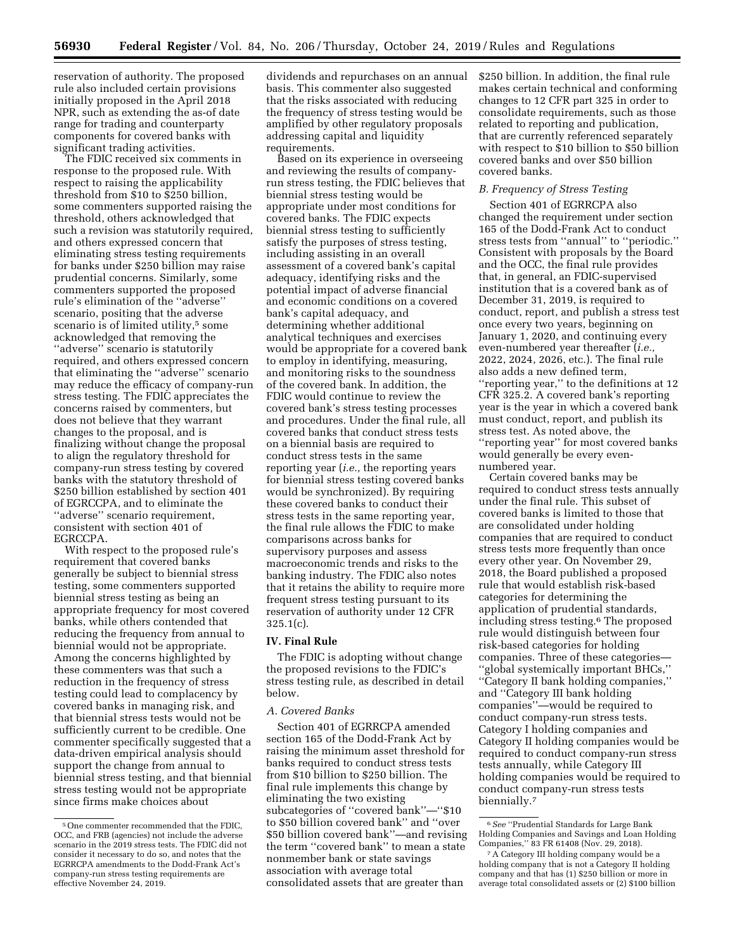reservation of authority. The proposed rule also included certain provisions initially proposed in the April 2018 NPR, such as extending the as-of date range for trading and counterparty components for covered banks with significant trading activities.

The FDIC received six comments in response to the proposed rule. With respect to raising the applicability threshold from \$10 to \$250 billion, some commenters supported raising the threshold, others acknowledged that such a revision was statutorily required, and others expressed concern that eliminating stress testing requirements for banks under \$250 billion may raise prudential concerns. Similarly, some commenters supported the proposed rule's elimination of the ''adverse'' scenario, positing that the adverse scenario is of limited utility,<sup>5</sup> some acknowledged that removing the ''adverse'' scenario is statutorily required, and others expressed concern that eliminating the ''adverse'' scenario may reduce the efficacy of company-run stress testing. The FDIC appreciates the concerns raised by commenters, but does not believe that they warrant changes to the proposal, and is finalizing without change the proposal to align the regulatory threshold for company-run stress testing by covered banks with the statutory threshold of \$250 billion established by section 401 of EGRCCPA, and to eliminate the ''adverse'' scenario requirement, consistent with section 401 of EGRCCPA.

With respect to the proposed rule's requirement that covered banks generally be subject to biennial stress testing, some commenters supported biennial stress testing as being an appropriate frequency for most covered banks, while others contended that reducing the frequency from annual to biennial would not be appropriate. Among the concerns highlighted by these commenters was that such a reduction in the frequency of stress testing could lead to complacency by covered banks in managing risk, and that biennial stress tests would not be sufficiently current to be credible. One commenter specifically suggested that a data-driven empirical analysis should support the change from annual to biennial stress testing, and that biennial stress testing would not be appropriate since firms make choices about

dividends and repurchases on an annual basis. This commenter also suggested that the risks associated with reducing the frequency of stress testing would be amplified by other regulatory proposals addressing capital and liquidity requirements.

Based on its experience in overseeing and reviewing the results of companyrun stress testing, the FDIC believes that biennial stress testing would be appropriate under most conditions for covered banks. The FDIC expects biennial stress testing to sufficiently satisfy the purposes of stress testing, including assisting in an overall assessment of a covered bank's capital adequacy, identifying risks and the potential impact of adverse financial and economic conditions on a covered bank's capital adequacy, and determining whether additional analytical techniques and exercises would be appropriate for a covered bank to employ in identifying, measuring, and monitoring risks to the soundness of the covered bank. In addition, the FDIC would continue to review the covered bank's stress testing processes and procedures. Under the final rule, all covered banks that conduct stress tests on a biennial basis are required to conduct stress tests in the same reporting year (*i.e.,* the reporting years for biennial stress testing covered banks would be synchronized). By requiring these covered banks to conduct their stress tests in the same reporting year, the final rule allows the FDIC to make comparisons across banks for supervisory purposes and assess macroeconomic trends and risks to the banking industry. The FDIC also notes that it retains the ability to require more frequent stress testing pursuant to its reservation of authority under 12 CFR 325.1(c).

#### **IV. Final Rule**

The FDIC is adopting without change the proposed revisions to the FDIC's stress testing rule, as described in detail below.

#### *A. Covered Banks*

Section 401 of EGRRCPA amended section 165 of the Dodd-Frank Act by raising the minimum asset threshold for banks required to conduct stress tests from \$10 billion to \$250 billion. The final rule implements this change by eliminating the two existing subcategories of ''covered bank''—''\$10 to \$50 billion covered bank'' and ''over \$50 billion covered bank''—and revising the term ''covered bank'' to mean a state nonmember bank or state savings association with average total consolidated assets that are greater than

\$250 billion. In addition, the final rule makes certain technical and conforming changes to 12 CFR part 325 in order to consolidate requirements, such as those related to reporting and publication, that are currently referenced separately with respect to \$10 billion to \$50 billion covered banks and over \$50 billion covered banks.

# *B. Frequency of Stress Testing*

Section 401 of EGRRCPA also changed the requirement under section 165 of the Dodd-Frank Act to conduct stress tests from ''annual'' to ''periodic.'' Consistent with proposals by the Board and the OCC, the final rule provides that, in general, an FDIC-supervised institution that is a covered bank as of December 31, 2019, is required to conduct, report, and publish a stress test once every two years, beginning on January 1, 2020, and continuing every even-numbered year thereafter (*i.e.,*  2022, 2024, 2026, etc.). The final rule also adds a new defined term, ''reporting year,'' to the definitions at 12 CFR 325.2. A covered bank's reporting year is the year in which a covered bank must conduct, report, and publish its stress test. As noted above, the ''reporting year'' for most covered banks would generally be every evennumbered year.

Certain covered banks may be required to conduct stress tests annually under the final rule. This subset of covered banks is limited to those that are consolidated under holding companies that are required to conduct stress tests more frequently than once every other year. On November 29, 2018, the Board published a proposed rule that would establish risk-based categories for determining the application of prudential standards, including stress testing.6 The proposed rule would distinguish between four risk-based categories for holding companies. Three of these categories— ''global systemically important BHCs,'' ''Category II bank holding companies,'' and ''Category III bank holding companies''—would be required to conduct company-run stress tests. Category I holding companies and Category II holding companies would be required to conduct company-run stress tests annually, while Category III holding companies would be required to conduct company-run stress tests biennially.<sup>7</sup>

<sup>5</sup>One commenter recommended that the FDIC, OCC, and FRB (agencies) not include the adverse scenario in the 2019 stress tests. The FDIC did not consider it necessary to do so, and notes that the EGRRCPA amendments to the Dodd-Frank Act's company-run stress testing requirements are effective November 24, 2019.

<sup>6</sup>*See* ''Prudential Standards for Large Bank Holding Companies and Savings and Loan Holding Companies,'' 83 FR 61408 (Nov. 29, 2018).

<sup>7</sup>A Category III holding company would be a holding company that is not a Category II holding company and that has (1) \$250 billion or more in average total consolidated assets or (2) \$100 billion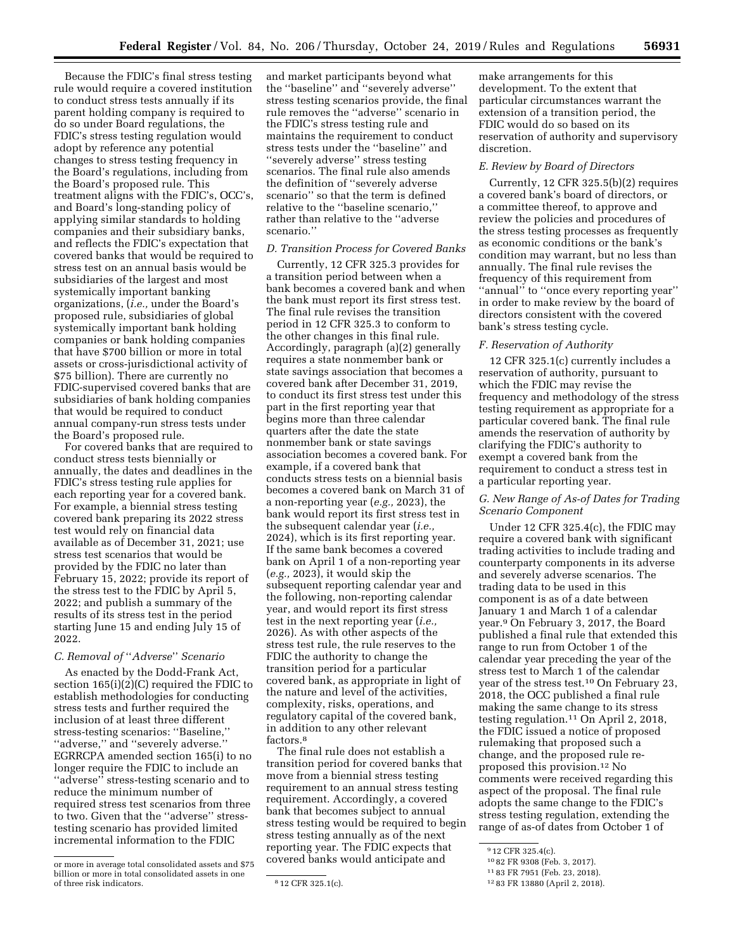Because the FDIC's final stress testing rule would require a covered institution to conduct stress tests annually if its parent holding company is required to do so under Board regulations, the FDIC's stress testing regulation would adopt by reference any potential changes to stress testing frequency in the Board's regulations, including from the Board's proposed rule. This treatment aligns with the FDIC's, OCC's, and Board's long-standing policy of applying similar standards to holding companies and their subsidiary banks, and reflects the FDIC's expectation that covered banks that would be required to stress test on an annual basis would be subsidiaries of the largest and most systemically important banking organizations, (*i.e.,* under the Board's proposed rule, subsidiaries of global systemically important bank holding companies or bank holding companies that have \$700 billion or more in total assets or cross-jurisdictional activity of \$75 billion). There are currently no FDIC-supervised covered banks that are subsidiaries of bank holding companies that would be required to conduct annual company-run stress tests under the Board's proposed rule.

For covered banks that are required to conduct stress tests biennially or annually, the dates and deadlines in the FDIC's stress testing rule applies for each reporting year for a covered bank. For example, a biennial stress testing covered bank preparing its 2022 stress test would rely on financial data available as of December 31, 2021; use stress test scenarios that would be provided by the FDIC no later than February 15, 2022; provide its report of the stress test to the FDIC by April 5, 2022; and publish a summary of the results of its stress test in the period starting June 15 and ending July 15 of 2022.

# *C. Removal of* ''*Adverse*'' *Scenario*

As enacted by the Dodd-Frank Act, section  $165(i)(2)(C)$  required the FDIC to establish methodologies for conducting stress tests and further required the inclusion of at least three different stress-testing scenarios: ''Baseline,'' ''adverse,'' and ''severely adverse.'' EGRRCPA amended section 165(i) to no longer require the FDIC to include an ''adverse'' stress-testing scenario and to reduce the minimum number of required stress test scenarios from three to two. Given that the ''adverse'' stresstesting scenario has provided limited incremental information to the FDIC

and market participants beyond what the ''baseline'' and ''severely adverse'' stress testing scenarios provide, the final rule removes the ''adverse'' scenario in the FDIC's stress testing rule and maintains the requirement to conduct stress tests under the ''baseline'' and ''severely adverse'' stress testing scenarios. The final rule also amends the definition of ''severely adverse scenario'' so that the term is defined relative to the ''baseline scenario,'' rather than relative to the ''adverse scenario.''

# *D. Transition Process for Covered Banks*

Currently, 12 CFR 325.3 provides for a transition period between when a bank becomes a covered bank and when the bank must report its first stress test. The final rule revises the transition period in 12 CFR 325.3 to conform to the other changes in this final rule. Accordingly, paragraph (a)(2) generally requires a state nonmember bank or state savings association that becomes a covered bank after December 31, 2019, to conduct its first stress test under this part in the first reporting year that begins more than three calendar quarters after the date the state nonmember bank or state savings association becomes a covered bank. For example, if a covered bank that conducts stress tests on a biennial basis becomes a covered bank on March 31 of a non-reporting year (*e.g.,* 2023), the bank would report its first stress test in the subsequent calendar year (*i.e.,*  2024), which is its first reporting year. If the same bank becomes a covered bank on April 1 of a non-reporting year (*e.g.,* 2023), it would skip the subsequent reporting calendar year and the following, non-reporting calendar year, and would report its first stress test in the next reporting year (*i.e.,*  2026). As with other aspects of the stress test rule, the rule reserves to the FDIC the authority to change the transition period for a particular covered bank, as appropriate in light of the nature and level of the activities, complexity, risks, operations, and regulatory capital of the covered bank, in addition to any other relevant factors.8

The final rule does not establish a transition period for covered banks that move from a biennial stress testing requirement to an annual stress testing requirement. Accordingly, a covered bank that becomes subject to annual stress testing would be required to begin stress testing annually as of the next reporting year. The FDIC expects that covered banks would anticipate and

make arrangements for this development. To the extent that particular circumstances warrant the extension of a transition period, the FDIC would do so based on its reservation of authority and supervisory discretion.

#### *E. Review by Board of Directors*

Currently, 12 CFR 325.5(b)(2) requires a covered bank's board of directors, or a committee thereof, to approve and review the policies and procedures of the stress testing processes as frequently as economic conditions or the bank's condition may warrant, but no less than annually. The final rule revises the frequency of this requirement from ''annual'' to ''once every reporting year'' in order to make review by the board of directors consistent with the covered bank's stress testing cycle.

#### *F. Reservation of Authority*

12 CFR 325.1(c) currently includes a reservation of authority, pursuant to which the FDIC may revise the frequency and methodology of the stress testing requirement as appropriate for a particular covered bank. The final rule amends the reservation of authority by clarifying the FDIC's authority to exempt a covered bank from the requirement to conduct a stress test in a particular reporting year.

# *G. New Range of As-of Dates for Trading Scenario Component*

Under 12 CFR 325.4(c), the FDIC may require a covered bank with significant trading activities to include trading and counterparty components in its adverse and severely adverse scenarios. The trading data to be used in this component is as of a date between January 1 and March 1 of a calendar year.9 On February 3, 2017, the Board published a final rule that extended this range to run from October 1 of the calendar year preceding the year of the stress test to March 1 of the calendar year of the stress test.10 On February 23, 2018, the OCC published a final rule making the same change to its stress testing regulation.11 On April 2, 2018, the FDIC issued a notice of proposed rulemaking that proposed such a change, and the proposed rule reproposed this provision.12 No comments were received regarding this aspect of the proposal. The final rule adopts the same change to the FDIC's stress testing regulation, extending the range of as-of dates from October 1 of

or more in average total consolidated assets and \$75 billion or more in total consolidated assets in one of three risk indicators.  $812$  CFR 325.1(c).

<sup>9</sup> 12 CFR 325.4(c).

<sup>10</sup> 82 FR 9308 (Feb. 3, 2017).

<sup>11</sup> 83 FR 7951 (Feb. 23, 2018).

<sup>12</sup> 83 FR 13880 (April 2, 2018).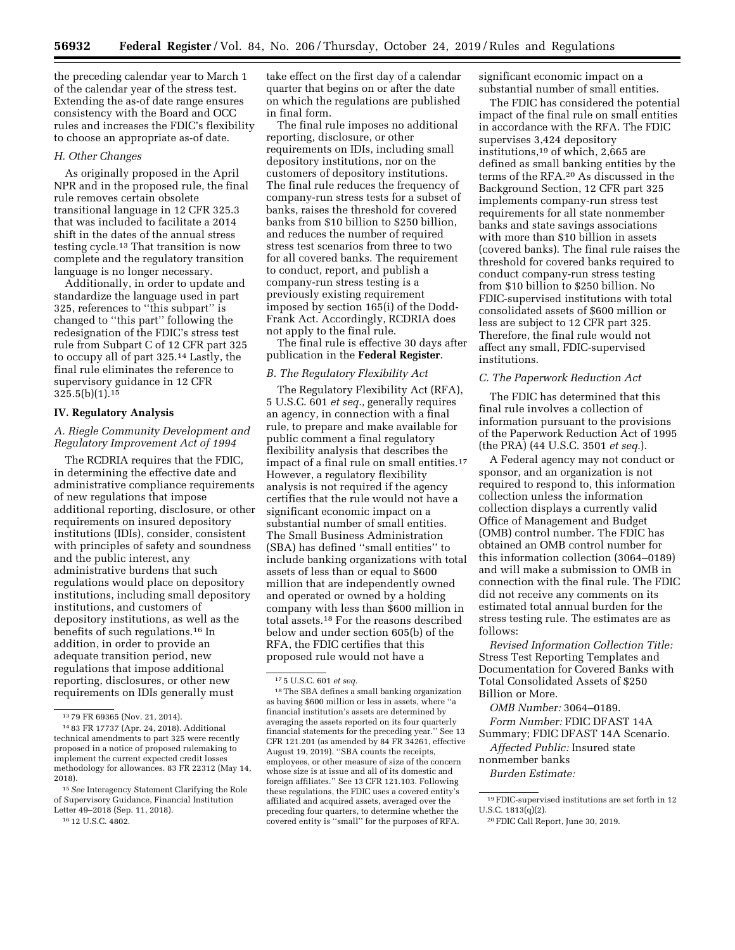the preceding calendar year to March 1 of the calendar year of the stress test. Extending the as-of date range ensures consistency with the Board and OCC rules and increases the FDIC's flexibility to choose an appropriate as-of date.

## *H. Other Changes*

As originally proposed in the April NPR and in the proposed rule, the final rule removes certain obsolete transitional language in 12 CFR 325.3 that was included to facilitate a 2014 shift in the dates of the annual stress testing cycle.13 That transition is now complete and the regulatory transition language is no longer necessary.

Additionally, in order to update and standardize the language used in part 325, references to ''this subpart'' is changed to ''this part'' following the redesignation of the FDIC's stress test rule from Subpart C of 12 CFR part 325 to occupy all of part 325.14 Lastly, the final rule eliminates the reference to supervisory guidance in 12 CFR  $325.5(b)(1).15$ 

# **IV. Regulatory Analysis**

# *A. Riegle Community Development and Regulatory Improvement Act of 1994*

The RCDRIA requires that the FDIC, in determining the effective date and administrative compliance requirements of new regulations that impose additional reporting, disclosure, or other requirements on insured depository institutions (IDIs), consider, consistent with principles of safety and soundness and the public interest, any administrative burdens that such regulations would place on depository institutions, including small depository institutions, and customers of depository institutions, as well as the benefits of such regulations.16 In addition, in order to provide an adequate transition period, new regulations that impose additional reporting, disclosures, or other new requirements on IDIs generally must

take effect on the first day of a calendar quarter that begins on or after the date on which the regulations are published in final form.

The final rule imposes no additional reporting, disclosure, or other requirements on IDIs, including small depository institutions, nor on the customers of depository institutions. The final rule reduces the frequency of company-run stress tests for a subset of banks, raises the threshold for covered banks from \$10 billion to \$250 billion, and reduces the number of required stress test scenarios from three to two for all covered banks. The requirement to conduct, report, and publish a company-run stress testing is a previously existing requirement imposed by section 165(i) of the Dodd-Frank Act. Accordingly, RCDRIA does not apply to the final rule.

The final rule is effective 30 days after publication in the **Federal Register**.

# *B. The Regulatory Flexibility Act*

The Regulatory Flexibility Act (RFA), 5 U.S.C. 601 *et seq.,* generally requires an agency, in connection with a final rule, to prepare and make available for public comment a final regulatory flexibility analysis that describes the impact of a final rule on small entities.17 However, a regulatory flexibility analysis is not required if the agency certifies that the rule would not have a significant economic impact on a substantial number of small entities. The Small Business Administration (SBA) has defined ''small entities'' to include banking organizations with total assets of less than or equal to \$600 million that are independently owned and operated or owned by a holding company with less than \$600 million in total assets.18 For the reasons described below and under section 605(b) of the RFA, the FDIC certifies that this proposed rule would not have a

significant economic impact on a substantial number of small entities.

The FDIC has considered the potential impact of the final rule on small entities in accordance with the RFA. The FDIC supervises 3,424 depository institutions,19 of which, 2,665 are defined as small banking entities by the terms of the RFA.20 As discussed in the Background Section, 12 CFR part 325 implements company-run stress test requirements for all state nonmember banks and state savings associations with more than \$10 billion in assets (covered banks). The final rule raises the threshold for covered banks required to conduct company-run stress testing from \$10 billion to \$250 billion. No FDIC-supervised institutions with total consolidated assets of \$600 million or less are subject to 12 CFR part 325. Therefore, the final rule would not affect any small, FDIC-supervised institutions.

# *C. The Paperwork Reduction Act*

The FDIC has determined that this final rule involves a collection of information pursuant to the provisions of the Paperwork Reduction Act of 1995 (the PRA) (44 U.S.C. 3501 *et seq.*).

A Federal agency may not conduct or sponsor, and an organization is not required to respond to, this information collection unless the information collection displays a currently valid Office of Management and Budget (OMB) control number. The FDIC has obtained an OMB control number for this information collection (3064–0189) and will make a submission to OMB in connection with the final rule. The FDIC did not receive any comments on its estimated total annual burden for the stress testing rule. The estimates are as follows:

*Revised Information Collection Title:*  Stress Test Reporting Templates and Documentation for Covered Banks with Total Consolidated Assets of \$250 Billion or More.

*OMB Number:* 3064–0189. *Form Number:* FDIC DFAST 14A Summary; FDIC DFAST 14A Scenario. *Affected Public:* Insured state nonmember banks *Burden Estimate:* 

<sup>13</sup> 79 FR 69365 (Nov. 21, 2014).

<sup>14</sup> 83 FR 17737 (Apr. 24, 2018). Additional technical amendments to part 325 were recently proposed in a notice of proposed rulemaking to implement the current expected credit losses methodology for allowances. 83 FR 22312 (May 14, 2018).

<sup>15</sup>*See* Interagency Statement Clarifying the Role of Supervisory Guidance, Financial Institution Letter 49–2018 (Sep. 11, 2018).

<sup>16</sup> 12 U.S.C. 4802.

<sup>17</sup> 5 U.S.C. 601 *et seq.* 

<sup>18</sup>The SBA defines a small banking organization as having \$600 million or less in assets, where ''a financial institution's assets are determined by averaging the assets reported on its four quarterly financial statements for the preceding year.'' See 13 CFR 121.201 (as amended by 84 FR 34261, effective August 19, 2019). ''SBA counts the receipts, employees, or other measure of size of the concern whose size is at issue and all of its domestic and foreign affiliates.'' See 13 CFR 121.103. Following these regulations, the FDIC uses a covered entity's affiliated and acquired assets, averaged over the preceding four quarters, to determine whether the covered entity is ''small'' for the purposes of RFA.

<sup>19</sup>FDIC-supervised institutions are set forth in 12 U.S.C. 1813(q)(2).

<sup>20</sup>FDIC Call Report, June 30, 2019.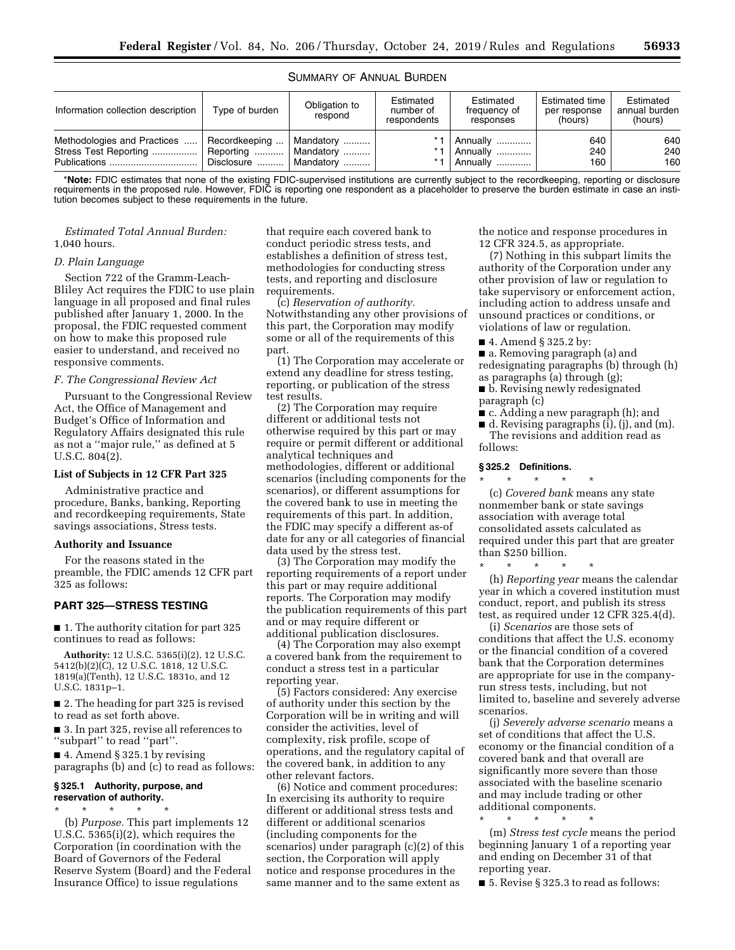# SUMMARY OF ANNUAL BURDEN

| Information collection description                                   | Type of burden                              | Obligation to<br>respond                 | Estimated<br>number of<br>respondents | Estimated<br>frequency of<br>responses        | <b>Estimated time</b><br>per response<br>(hours) | Estimated<br>annual burden<br>(hours) |
|----------------------------------------------------------------------|---------------------------------------------|------------------------------------------|---------------------------------------|-----------------------------------------------|--------------------------------------------------|---------------------------------------|
| Methodologies and Practices<br>Stress Test Reporting<br>Publications | Recordkeeping<br>Reporting<br>Disclosure  " | Mandatory<br>Mandatorv<br>.<br>Mandatory | $* -$                                 | Annually<br><br>Annually<br>.<br>Annually<br> | 640<br>240<br>160                                | 640<br>240<br>160                     |

\***Note:** FDIC estimates that none of the existing FDIC-supervised institutions are currently subject to the recordkeeping, reporting or disclosure requirements in the proposed rule. However, FDIC is reporting one respondent as a placeholder to preserve the burden estimate in case an institution becomes subject to these requirements in the future.

## *Estimated Total Annual Burden:*  1,040 hours.

#### *D. Plain Language*

Section 722 of the Gramm-Leach-Bliley Act requires the FDIC to use plain language in all proposed and final rules published after January 1, 2000. In the proposal, the FDIC requested comment on how to make this proposed rule easier to understand, and received no responsive comments.

## *F. The Congressional Review Act*

Pursuant to the Congressional Review Act, the Office of Management and Budget's Office of Information and Regulatory Affairs designated this rule as not a ''major rule,'' as defined at 5 U.S.C. 804(2).

#### **List of Subjects in 12 CFR Part 325**

Administrative practice and procedure, Banks, banking, Reporting and recordkeeping requirements, State savings associations, Stress tests.

#### **Authority and Issuance**

For the reasons stated in the preamble, the FDIC amends 12 CFR part 325 as follows:

# **PART 325—STRESS TESTING**

■ 1. The authority citation for part 325 continues to read as follows:

**Authority:** 12 U.S.C. 5365(i)(2), 12 U.S.C. 5412(b)(2)(C), 12 U.S.C. 1818, 12 U.S.C. 1819(a)(Tenth), 12 U.S.C. 1831o, and 12 U.S.C. 1831p–1.

■ 2. The heading for part 325 is revised to read as set forth above.

■ 3. In part 325, revise all references to ''subpart'' to read ''part''.

■ 4. Amend § 325.1 by revising paragraphs (b) and (c) to read as follows:

#### **§ 325.1 Authority, purpose, and reservation of authority.**

\* \* \* \* \* (b) *Purpose.* This part implements 12 U.S.C. 5365(i)(2), which requires the

Corporation (in coordination with the Board of Governors of the Federal Reserve System (Board) and the Federal Insurance Office) to issue regulations

that require each covered bank to conduct periodic stress tests, and establishes a definition of stress test, methodologies for conducting stress tests, and reporting and disclosure requirements.

(c) *Reservation of authority.*  Notwithstanding any other provisions of this part, the Corporation may modify some or all of the requirements of this part.

(1) The Corporation may accelerate or extend any deadline for stress testing, reporting, or publication of the stress test results.

(2) The Corporation may require different or additional tests not otherwise required by this part or may require or permit different or additional analytical techniques and methodologies, different or additional scenarios (including components for the scenarios), or different assumptions for the covered bank to use in meeting the requirements of this part. In addition, the FDIC may specify a different as-of date for any or all categories of financial data used by the stress test.

(3) The Corporation may modify the reporting requirements of a report under this part or may require additional reports. The Corporation may modify the publication requirements of this part and or may require different or additional publication disclosures.

(4) The Corporation may also exempt a covered bank from the requirement to conduct a stress test in a particular reporting year.

(5) Factors considered: Any exercise of authority under this section by the Corporation will be in writing and will consider the activities, level of complexity, risk profile, scope of operations, and the regulatory capital of the covered bank, in addition to any other relevant factors.

(6) Notice and comment procedures: In exercising its authority to require different or additional stress tests and different or additional scenarios (including components for the scenarios) under paragraph (c)(2) of this section, the Corporation will apply notice and response procedures in the same manner and to the same extent as

the notice and response procedures in 12 CFR 324.5, as appropriate.

(7) Nothing in this subpart limits the authority of the Corporation under any other provision of law or regulation to take supervisory or enforcement action, including action to address unsafe and unsound practices or conditions, or violations of law or regulation.

■ 4. Amend § 325.2 by:

■ a. Removing paragraph (a) and redesignating paragraphs (b) through (h) as paragraphs (a) through (g);

■ **b.** Revising newly redesignated paragraph (c)

■ c. Adding a new paragraph (h); and

 $\blacksquare$  d. Revising paragraphs (i), (i), and (m). The revisions and addition read as follows:

# **§ 325.2 Definitions.**

\* \* \* \* \* (c) *Covered bank* means any state nonmember bank or state savings association with average total consolidated assets calculated as required under this part that are greater than \$250 billion.

\* \* \* \* \*

(h) *Reporting year* means the calendar year in which a covered institution must conduct, report, and publish its stress test, as required under 12 CFR 325.4(d).

(i) *Scenarios* are those sets of conditions that affect the U.S. economy or the financial condition of a covered bank that the Corporation determines are appropriate for use in the companyrun stress tests, including, but not limited to, baseline and severely adverse scenarios.

(j) *Severely adverse scenario* means a set of conditions that affect the U.S. economy or the financial condition of a covered bank and that overall are significantly more severe than those associated with the baseline scenario and may include trading or other additional components.

\* \* \* \* \* (m) *Stress test cycle* means the period beginning January 1 of a reporting year and ending on December 31 of that reporting year.

■ 5. Revise § 325.3 to read as follows: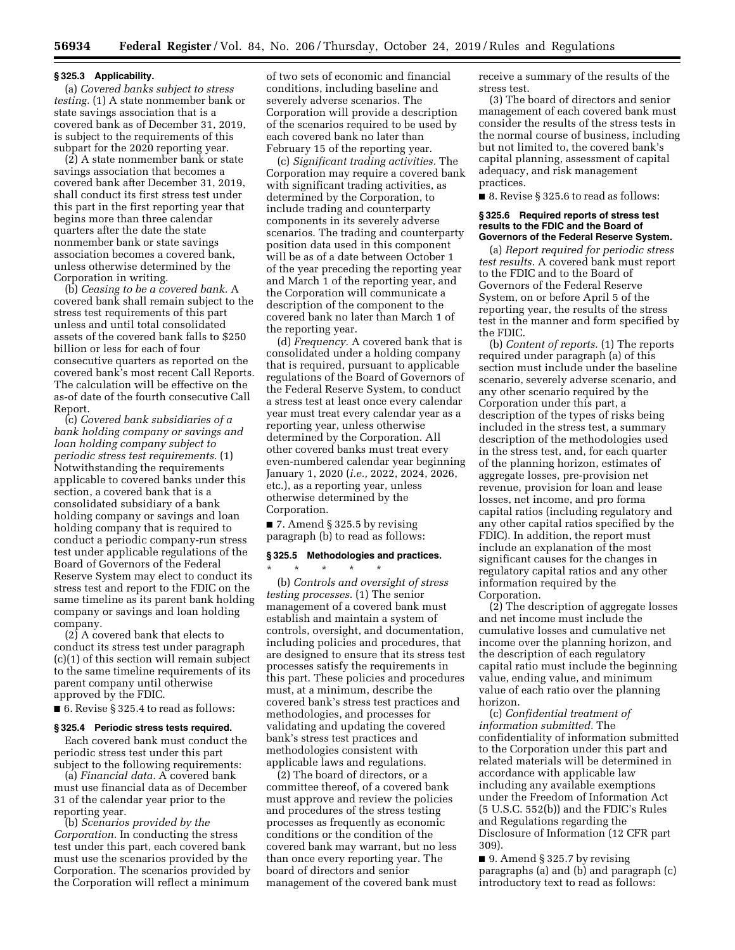#### **§ 325.3 Applicability.**

(a) *Covered banks subject to stress testing.* (1) A state nonmember bank or state savings association that is a covered bank as of December 31, 2019, is subject to the requirements of this subpart for the 2020 reporting year.

(2) A state nonmember bank or state savings association that becomes a covered bank after December 31, 2019, shall conduct its first stress test under this part in the first reporting year that begins more than three calendar quarters after the date the state nonmember bank or state savings association becomes a covered bank, unless otherwise determined by the Corporation in writing.

(b) *Ceasing to be a covered bank.* A covered bank shall remain subject to the stress test requirements of this part unless and until total consolidated assets of the covered bank falls to \$250 billion or less for each of four consecutive quarters as reported on the covered bank's most recent Call Reports. The calculation will be effective on the as-of date of the fourth consecutive Call Report.

(c) *Covered bank subsidiaries of a bank holding company or savings and loan holding company subject to periodic stress test requirements.* (1) Notwithstanding the requirements applicable to covered banks under this section, a covered bank that is a consolidated subsidiary of a bank holding company or savings and loan holding company that is required to conduct a periodic company-run stress test under applicable regulations of the Board of Governors of the Federal Reserve System may elect to conduct its stress test and report to the FDIC on the same timeline as its parent bank holding company or savings and loan holding company.

(2) A covered bank that elects to conduct its stress test under paragraph (c)(1) of this section will remain subject to the same timeline requirements of its parent company until otherwise approved by the FDIC.

■ 6. Revise § 325.4 to read as follows:

#### **§ 325.4 Periodic stress tests required.**

Each covered bank must conduct the periodic stress test under this part subject to the following requirements:

(a) *Financial data.* A covered bank must use financial data as of December 31 of the calendar year prior to the reporting year.

(b) *Scenarios provided by the Corporation.* In conducting the stress test under this part, each covered bank must use the scenarios provided by the Corporation. The scenarios provided by the Corporation will reflect a minimum

of two sets of economic and financial conditions, including baseline and severely adverse scenarios. The Corporation will provide a description of the scenarios required to be used by each covered bank no later than February 15 of the reporting year.

(c) *Significant trading activities.* The Corporation may require a covered bank with significant trading activities, as determined by the Corporation, to include trading and counterparty components in its severely adverse scenarios. The trading and counterparty position data used in this component will be as of a date between October 1 of the year preceding the reporting year and March 1 of the reporting year, and the Corporation will communicate a description of the component to the covered bank no later than March 1 of the reporting year.

(d) *Frequency.* A covered bank that is consolidated under a holding company that is required, pursuant to applicable regulations of the Board of Governors of the Federal Reserve System, to conduct a stress test at least once every calendar year must treat every calendar year as a reporting year, unless otherwise determined by the Corporation. All other covered banks must treat every even-numbered calendar year beginning January 1, 2020 (*i.e.,* 2022, 2024, 2026, etc.), as a reporting year, unless otherwise determined by the Corporation.

■ 7. Amend § 325.5 by revising paragraph (b) to read as follows:

## **§ 325.5 Methodologies and practices.**

\* \* \* \* \* (b) *Controls and oversight of stress testing processes.* (1) The senior management of a covered bank must establish and maintain a system of controls, oversight, and documentation, including policies and procedures, that are designed to ensure that its stress test processes satisfy the requirements in this part. These policies and procedures must, at a minimum, describe the covered bank's stress test practices and methodologies, and processes for validating and updating the covered bank's stress test practices and methodologies consistent with applicable laws and regulations.

(2) The board of directors, or a committee thereof, of a covered bank must approve and review the policies and procedures of the stress testing processes as frequently as economic conditions or the condition of the covered bank may warrant, but no less than once every reporting year. The board of directors and senior management of the covered bank must receive a summary of the results of the stress test.

(3) The board of directors and senior management of each covered bank must consider the results of the stress tests in the normal course of business, including but not limited to, the covered bank's capital planning, assessment of capital adequacy, and risk management practices.

■ 8. Revise § 325.6 to read as follows:

#### **§ 325.6 Required reports of stress test results to the FDIC and the Board of Governors of the Federal Reserve System.**

(a) *Report required for periodic stress test results.* A covered bank must report to the FDIC and to the Board of Governors of the Federal Reserve System, on or before April 5 of the reporting year, the results of the stress test in the manner and form specified by the FDIC.

(b) *Content of reports.* (1) The reports required under paragraph (a) of this section must include under the baseline scenario, severely adverse scenario, and any other scenario required by the Corporation under this part, a description of the types of risks being included in the stress test, a summary description of the methodologies used in the stress test, and, for each quarter of the planning horizon, estimates of aggregate losses, pre-provision net revenue, provision for loan and lease losses, net income, and pro forma capital ratios (including regulatory and any other capital ratios specified by the FDIC). In addition, the report must include an explanation of the most significant causes for the changes in regulatory capital ratios and any other information required by the Corporation.

(2) The description of aggregate losses and net income must include the cumulative losses and cumulative net income over the planning horizon, and the description of each regulatory capital ratio must include the beginning value, ending value, and minimum value of each ratio over the planning horizon.

(c) *Confidential treatment of information submitted.* The confidentiality of information submitted to the Corporation under this part and related materials will be determined in accordance with applicable law including any available exemptions under the Freedom of Information Act (5 U.S.C. 552(b)) and the FDIC's Rules and Regulations regarding the Disclosure of Information (12 CFR part 309).

■ 9. Amend § 325.7 by revising paragraphs (a) and (b) and paragraph (c) introductory text to read as follows: